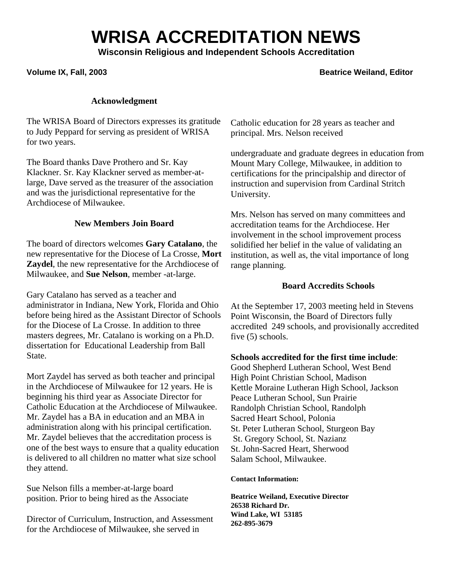# **WRISA ACCREDITATION NEWS**

**Wisconsin Religious and Independent Schools Accreditation** 

## Volume IX, Fall, 2003 **Beatrice Weiland, Editor Beatrice Weiland, Editor**

#### **Acknowledgment**

The WRISA Board of Directors expresses its gratitude to Judy Peppard for serving as president of WRISA for two years.

The Board thanks Dave Prothero and Sr. Kay Klackner. Sr. Kay Klackner served as member-atlarge, Dave served as the treasurer of the association and was the jurisdictional representative for the Archdiocese of Milwaukee.

## **New Members Join Board**

The board of directors welcomes **Gary Catalano**, the new representative for the Diocese of La Crosse, **Mort Zaydel**, the new representative for the Archdiocese of Milwaukee, and **Sue Nelson**, member -at-large.

Gary Catalano has served as a teacher and administrator in Indiana, New York, Florida and Ohio before being hired as the Assistant Director of Schools for the Diocese of La Crosse. In addition to three masters degrees, Mr. Catalano is working on a Ph.D. dissertation for Educational Leadership from Ball State.

Mort Zaydel has served as both teacher and principal in the Archdiocese of Milwaukee for 12 years. He is beginning his third year as Associate Director for Catholic Education at the Archdiocese of Milwaukee. Mr. Zaydel has a BA in education and an MBA in administration along with his principal certification. Mr. Zaydel believes that the accreditation process is one of the best ways to ensure that a quality education is delivered to all children no matter what size school they attend.

Sue Nelson fills a member-at-large board position. Prior to being hired as the Associate

Director of Curriculum, Instruction, and Assessment for the Archdiocese of Milwaukee, she served in

Catholic education for 28 years as teacher and principal. Mrs. Nelson received

undergraduate and graduate degrees in education from Mount Mary College, Milwaukee, in addition to certifications for the principalship and director of instruction and supervision from Cardinal Stritch University.

Mrs. Nelson has served on many committees and accreditation teams for the Archdiocese. Her involvement in the school improvement process solidified her belief in the value of validating an institution, as well as, the vital importance of long range planning.

## **Board Accredits Schools**

At the September 17, 2003 meeting held in Stevens Point Wisconsin, the Board of Directors fully accredited 249 schools, and provisionally accredited five (5) schools.

#### **Schools accredited for the first time include**:

Good Shepherd Lutheran School, West Bend High Point Christian School, Madison Kettle Moraine Lutheran High School, Jackson Peace Lutheran School, Sun Prairie Randolph Christian School, Randolph Sacred Heart School, Polonia St. Peter Lutheran School, Sturgeon Bay St. Gregory School, St. Nazianz St. John-Sacred Heart, Sherwood Salam School, Milwaukee.

#### **Contact Information:**

**Beatrice Weiland, Executive Director 26538 Richard Dr. Wind Lake, WI 53185 262-895-3679**